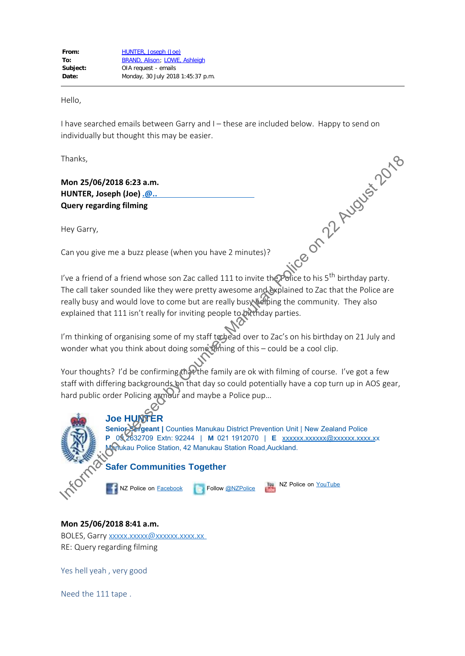Hello,

I have searched emails between Garry and I – these are included below. Happy to send on individually but thought this may be easier.

Thanks,

**Mon 25/06/2018 6:23 a.m. HUNTER, Joseph (Joe)**  $\Omega$ . **Query regarding filming**

Hey Garry,

Can you give me a buzz please (when you have 2 minutes)?

I've a friend of a friend whose son Zac called 111 to invite the Police to his 5<sup>th</sup> birthday party. The call taker sounded like they were pretty awesome and explained to Zac that the Police are really busy and would love to come but are really busy helping the community. They also explained that 111 isn't really for inviting people to birthday parties. Ince on 22 August 2018

I'm thinking of organising some of my staff to head over to Zac's on his birthday on 21 July and wonder what you think about doing some thing of this – could be a cool clip.

Your thoughts? I'd be confirming that the family are ok with filming of course. I've got a few staff with differing backgrounds on that day so could potentially have a cop turn up in AOS gear, hard public order Policing armour and maybe a Police pup…

**PS 2632709 Extn: 92244 | <b>M** 021 1912070 | **E** xxxxxx.xxxxxxxxxxxxx.xxx.xx



NZ Police on **[Facebook](https://www.police.govt.nz/facebook)** 

Follow **[@NZPolice](https://twitter.com/NZPolice)** 

NZ Police on YouTube

**Mon 25/06/2018 8:41 a.m.**

BOLES, Garry xxxxx.xxxxx@xxxxxx.xxx.xx RE: Query regarding filming

Yes hell yeah , very good

Need the 111 tape .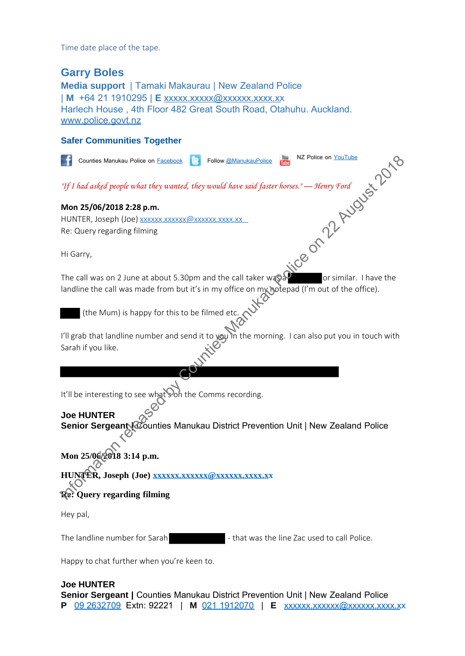Time date place of the tape.

## **Garry Boles**

**Media support** | Tamaki Makaurau | New Zealand Police | **M** +64 21 1910295 | **E** [xxxxx.xxxxx@xxxxxx.xxxx.xx](mailto:xxxxx.xxxxxxxx@xxxxxx.xxxx.xx) Harlech House , 4th Floor 482 Great South Road, Otahuhu. Auckland. [www.police.govt.nz](http://www.police.govt.nz/)

## **Safer Communities Together**

**F** Counties Manukau Police on Facebook **Communist Counties ManukauPolice** Notes Manutau Poles on Eastbox 1. Folio @Manutaubile: 18. NZ Poles on YouTube<br>
1971 had asked people what they wanted, they would have said faster horses."— Theny Tord<br>
IN ON 25/06/2018 2:28 p.m.<br>
HUNTER, Joseph (Joe) <u>xos</u> *"If I had asked people what they wanted, they would have said faster horses." — Henry Ford* **Mon 25/06/2018 2:28 p.m.** HUNTER, Joseph (Joe) xxxxxx.xxxxxx@xxxxxx.xxxx.xx Re: Query regarding filming Hi Garry, The call was on 2 June at about 5.30pm and the call taker was  $\mathbb{R}^n$  or similar. I have the landline the call was made from but it's in my office on my hotepad (I'm out of the office). (the Mum) is happy for this to be filmed etc. I'll grab that landline number and send it to you in the morning. I can also put you in touch with Sarah if you like. It'll be interesting to see what Son the Comms recording. **Joe HUNTER Senior Sergeant Counties Manukau District Prevention Unit | New Zealand Police Mon 25/06/2018 3:14 p.m.** HUNTER, Joseph (Joe) xxxxxx.xxxxxx@xxxxxx.xxxx.xx **Re: Query regarding filming** Hey pal,

Happy to chat further when you're keen to.

## **Joe HUNTER**

**Senior Sergeant |** Counties Manukau District Prevention Unit | New Zealand Police **P** [09 2632709](tel:09%202632709) Extn: 92221 | **M** [021 1912070](tel:021%201912070) | **E** xxxxxx.xxxxxx@xxxxx.xxx.xx

The landline number for Sarah  $\sim$  that was the line Zac used to call Police.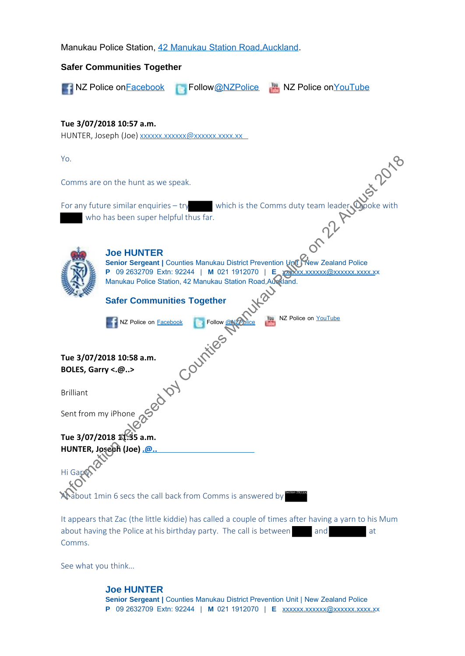Manukau Police Station, [42 Manukau Station Road,Auckland.](x-apple-data-detectors://3/1)



about having the Police at his birthday party. The call is between and and at Comms.

See what you think…

**Joe HUNTER Senior Sergeant |** Counties Manukau District Prevention Unit | New Zealand Police **P** 09 2632709 Extn: 92244 | **M** 021 1912070 | **E** xxxxxx.xxxxxxxxxxxx.xxxx.xx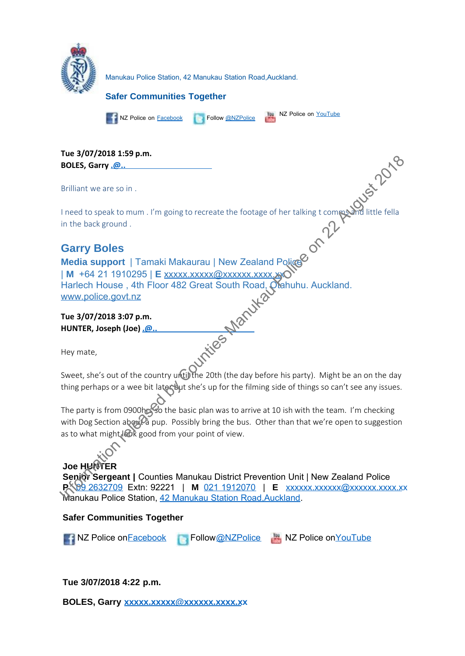

**Tue 3/07/2018 1:59 p.m. BOLES, Garry** . @..

Brilliant we are so in .

I need to speak to mum . I'm going to recreate the footage of her talking t comms and little fella in the back ground .

# **Garry Boles**

**Media support** | Tamaki Makaurau | New Zealand Police | **M** +64 21 1910295 | **E** xxxxx.xxxxx@xxxxxx.xxxx.xx Harlech House , 4th Floor 482 Great South Road, Otahuhu. Auckland. www.police.govt.nz In[fo](tel:09%202632709)rmation release of the release of the railing to company and the basis party and the basis applies and the basis and the basis of the railing state of the railing to company and interfells in the basis ground. Counties

**Tue 3/07/2018 3:07 p.m. HUNTER, Joseph (Joe) x.x@x.x.x**

Hey mate,

Sweet, she's out of the country until the 20th (the day before his party). Might be an on the day thing perhaps or a wee bit later but she's up for the filming side of things so can't see any issues.

The party is from 0900hcs so the basic plan was to arrive at 10 ish with the team. I'm checking with Dog Section about a pup. Possibly bring the bus. Other than that we're open to suggestion as to what might look good from your point of view.

# **Joe HUNTER**

**Senior Sergeant |** Counties Manukau District Prevention Unit | New Zealand Police **P<sub>1</sub> 99 2632709 Extn: 92221 | M** 021 1912070 | **E** xxxxxx.xxxxxxxxxxx.xxxx.xxx.xx Manukau Police Station, [42 Manukau Station Road,Auckland.](x-apple-data-detectors://3/1)

## **Safer Communities Together**

**NZ Police on Facebook** Follow[@NZPolice](https://twitter.com/NZPolice) NZ Police on <u>[YouTube](https://www.youtube.com/user/policenz)</u>

**Tue 3/07/2018 4:22 p.m.**

BOLES, Garry xxxxx.xxxxx@xxxxxxx.xxx.xx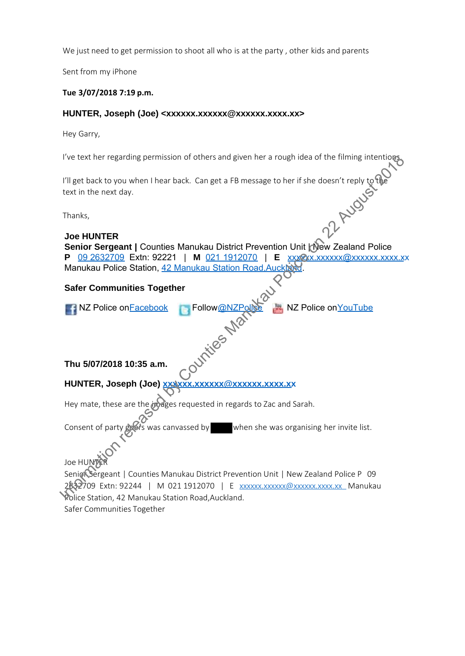We just need to get permission to shoot all who is at the party, other kids and parents

Sent from my iPhone

#### **Tue 3/07/2018 7:19 p.m.**

#### HUNTER, Joseph (Joe) <xxxxxx.xxxxxx@xxxxxx.xxx.xx>

Hey Garry,

I've text her regarding permission of others and given her a rough idea of the filming intentions.

I'll get back to you when I hear back. Can get a FB message to her if she doesn't reply to the text in the next day.

Thanks,

## **Joe HUNTER**

**Senior Sergeant | Counties Manukau District Prevention Unit | New Zealand Police P** 09 2632709 Extn: 92221 | **M** 021 1912070 | **E** xxxxxxxxxxxxxxxxxx.xxx.xx Manukau Police Station, 42 Manukau Station Road, Auckl I'll get back to you when I hear back. Can get a FB message to her if she doesn't reply to the<br>
Lest in the next day.<br>
Thanks,<br> **Joe HUNTER**<br> **IDENTIFIER STATE COUNTER SUBATER POWER DESCRIPS TO PRESSURE SERVICE ON SUBARUS** 

## **Safer Communities Together**

| NZ Police on Facebook Follow @NZPolice NZ Police on YouTube |           |  |
|-------------------------------------------------------------|-----------|--|
|                                                             | <b>NO</b> |  |

## **Thu 5/07/2018 10:35 a.m.**

## **HUNTER, Joseph (Joe) xxxxxx.xxxxxx@xxxxxx.xxxx.xx**

Hey mate, these are the images requested in regards to Zac and Sarah.

Consent of party goods was canvassed by when she was organising her invite list.

Joe HUNT

Senior Sergeant | Counties Manukau District Prevention Unit | New Zealand Police P 09 2632709 Extn: 92244 | M 021 1912070 | E xxxxxx.xxxxxx@xxxxxx.xxx.xx Manukau Police Station, 42 Manukau Station Road,Auckland.

Safer Communities Together